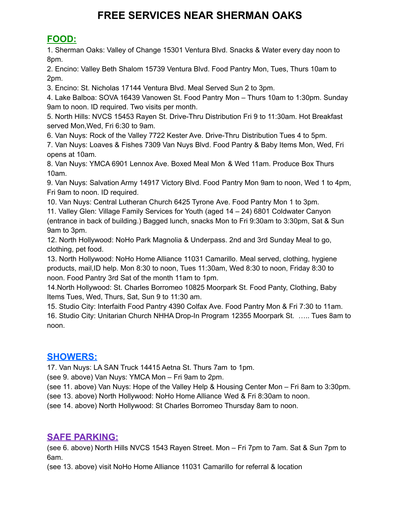# **FREE SERVICES NEAR SHERMAN OAKS**

# **FOOD:**

1. Sherman Oaks: Valley of Change 15301 Ventura Blvd. Snacks & Water every day noon to 8pm.

2. Encino: Valley Beth Shalom 15739 Ventura Blvd. Food Pantry Mon, Tues, Thurs 10am to 2pm.

3. Encino: St. Nicholas 17144 Ventura Blvd. Meal Served Sun 2 to 3pm.

4. Lake Balboa: SOVA 16439 Vanowen St. Food Pantry Mon – Thurs 10am to 1:30pm. Sunday 9am to noon. ID required. Two visits per month.

5. North Hills: NVCS 15453 Rayen St. Drive-Thru Distribution Fri 9 to 11:30am. Hot Breakfast served Mon,Wed, Fri 6:30 to 9am.

6. Van Nuys: Rock of the Valley 7722 Kester Ave. Drive-Thru Distribution Tues 4 to 5pm.

7. Van Nuys: Loaves & Fishes 7309 Van Nuys Blvd. Food Pantry & Baby Items Mon, Wed, Fri opens at 10am.

8. Van Nuys: YMCA 6901 Lennox Ave. Boxed Meal Mon & Wed 11am. Produce Box Thurs 10am.

9. Van Nuys: Salvation Army 14917 Victory Blvd. Food Pantry Mon 9am to noon, Wed 1 to 4pm, Fri 9am to noon. ID required.

10. Van Nuys: Central Lutheran Church 6425 Tyrone Ave. Food Pantry Mon 1 to 3pm.

11. Valley Glen: Village Family Services for Youth (aged 14 – 24) 6801 Coldwater Canyon (entrance in back of building.) Bagged lunch, snacks Mon to Fri 9:30am to 3:30pm, Sat & Sun 9am to 3pm.

12. North Hollywood: NoHo Park Magnolia & Underpass. 2nd and 3rd Sunday Meal to go, clothing, pet food.

13. North Hollywood: NoHo Home Alliance 11031 Camarillo. Meal served, clothing, hygiene products, mail,ID help. Mon 8:30 to noon, Tues 11:30am, Wed 8:30 to noon, Friday 8:30 to noon. Food Pantry 3rd Sat of the month 11am to 1pm.

14.North Hollywood: St. Charles Borromeo 10825 Moorpark St. Food Panty, Clothing, Baby Items Tues, Wed, Thurs, Sat, Sun 9 to 11:30 am.

15. Studio City: Interfaith Food Pantry 4390 Colfax Ave. Food Pantry Mon & Fri 7:30 to 11am. 16. Studio City: Unitarian Church NHHA Drop-In Program 12355 Moorpark St. ….. Tues 8am to noon.

### **SHOWERS:**

17. Van Nuys: LA SAN Truck 14415 Aetna St. Thurs 7am to 1pm.

(see 9. above) Van Nuys: YMCA Mon – Fri 9am to 2pm.

(see 11. above) Van Nuys: Hope of the Valley Help & Housing Center Mon – Fri 8am to 3:30pm.

(see 13. above) North Hollywood: NoHo Home Alliance Wed & Fri 8:30am to noon.

(see 14. above) North Hollywood: St Charles Borromeo Thursday 8am to noon.

### **SAFE PARKING:**

(see 6. above) North Hills NVCS 1543 Rayen Street. Mon – Fri 7pm to 7am. Sat & Sun 7pm to 6am.

(see 13. above) visit NoHo Home Alliance 11031 Camarillo for referral & location